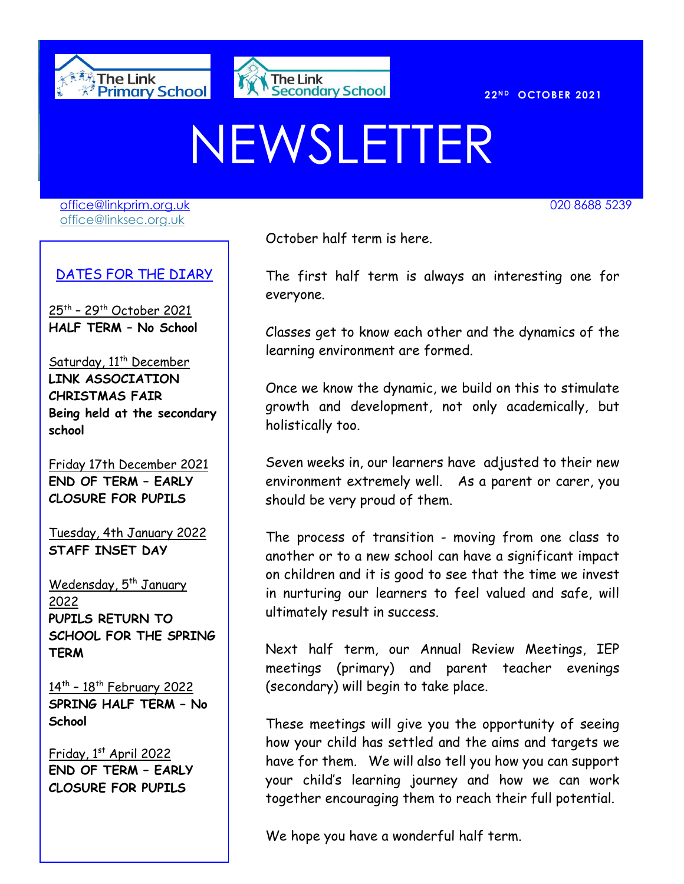



# NEWSLETTER

[office@linkprim.org.uk](mailto:office@linkprim.org.uk) 020 8688 5239 office@linksec.org.uk

#### DATES FOR THE DIARY

<u>25th – 29th October 2021</u> **HALF TERM – No School**

Saturday, 11<sup>th</sup> December **LINK ASSOCIATION CHRISTMAS FAIR Being held at the secondary school** 

Friday 17th December 2021 **END OF TERM – EARLY CLOSURE FOR PUPILS**

Tuesday, 4th January 2022 **STAFF INSET DAY**

Wedensday, 5<sup>th</sup> January 2022 **PUPILS RETURN TO SCHOOL FOR THE SPRING TERM**

14<sup>th</sup> - 18<sup>th</sup> February 2022 **SPRING HALF TERM – No School**

Friday, 1st April 2022 **END OF TERM – EARLY CLOSURE FOR PUPILS**

<u>de a contract contract of the October half term is here.</u>

 The first half term is always an interesting one for everyone.

Classes get to know each other and the dynamics of the learning environment are formed.

Once we know the dynamic, we build on this to stimulate growth and development, not only academically, but holistically too.

Seven weeks in, our learners have adjusted to their new environment extremely well. As a parent or carer, you should be very proud of them.

The process of transition - moving from one class to another or to a new school can have a significant impact on children and it is good to see that the time we invest in nurturing our learners to feel valued and safe, will ultimately result in success.

Next half term, our Annual Review Meetings, IEP meetings (primary) and parent teacher evenings (secondary) will begin to take place.

These meetings will give you the opportunity of seeing how your child has settled and the aims and targets we have for them. We will also tell you how you can support your child's learning journey and how we can work together encouraging them to reach their full potential.

We hope you have a wonderful half term.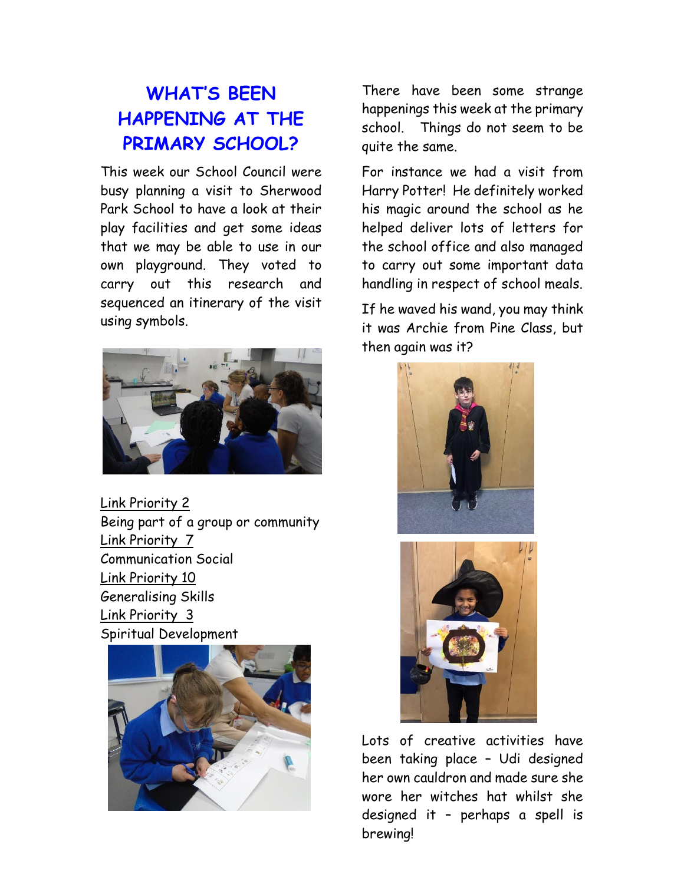# **WHAT'S BEEN HAPPENING AT THE PRIMARY SCHOOL?**

This week our School Council were busy planning a visit to Sherwood Park School to have a look at their play facilities and get some ideas that we may be able to use in our own playground. They voted to carry out this research and sequenced an itinerary of the visit using symbols.



Link Priority 2 Being part of a group or community Link Priority 7 Communication Social Link Priority 10 Generalising Skills Link Priority 3 Spiritual Development



There have been some strange happenings this week at the primary school. Things do not seem to be quite the same.

For instance we had a visit from Harry Potter! He definitely worked his magic around the school as he helped deliver lots of letters for the school office and also managed to carry out some important data handling in respect of school meals.

If he waved his wand, you may think it was Archie from Pine Class, but then again was it?



Lots of creative activities have been taking place – Udi designed her own cauldron and made sure she wore her witches hat whilst she designed it – perhaps a spell is

brewing!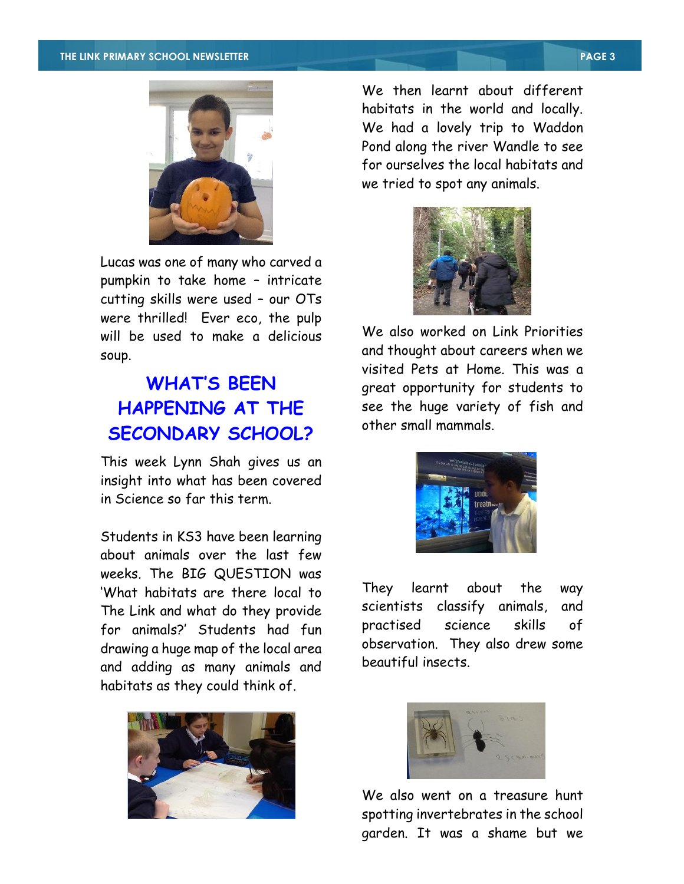

Lucas was one of many who carved a pumpkin to take home – intricate cutting skills were used – our OTs were thrilled! Ever eco, the pulp will be used to make a delicious soup.

# **WHAT'S BEEN HAPPENING AT THE SECONDARY SCHOOL?**

This week Lynn Shah gives us an insight into what has been covered in Science so far this term.

Students in KS3 have been learning about animals over the last few weeks. The BIG QUESTION was 'What habitats are there local to The Link and what do they provide for animals?' Students had fun drawing a huge map of the local area and adding as many animals and habitats as they could think of.



We then learnt about different habitats in the world and locally. We had a lovely trip to Waddon Pond along the river Wandle to see for ourselves the local habitats and we tried to spot any animals.



We also worked on Link Priorities and thought about careers when we visited Pets at Home. This was a great opportunity for students to see the huge variety of fish and other small mammals.



They learnt about the way scientists classify animals, and practised science skills of observation. They also drew some beautiful insects.



We also went on a treasure hunt spotting invertebrates in the school garden. It was a shame but we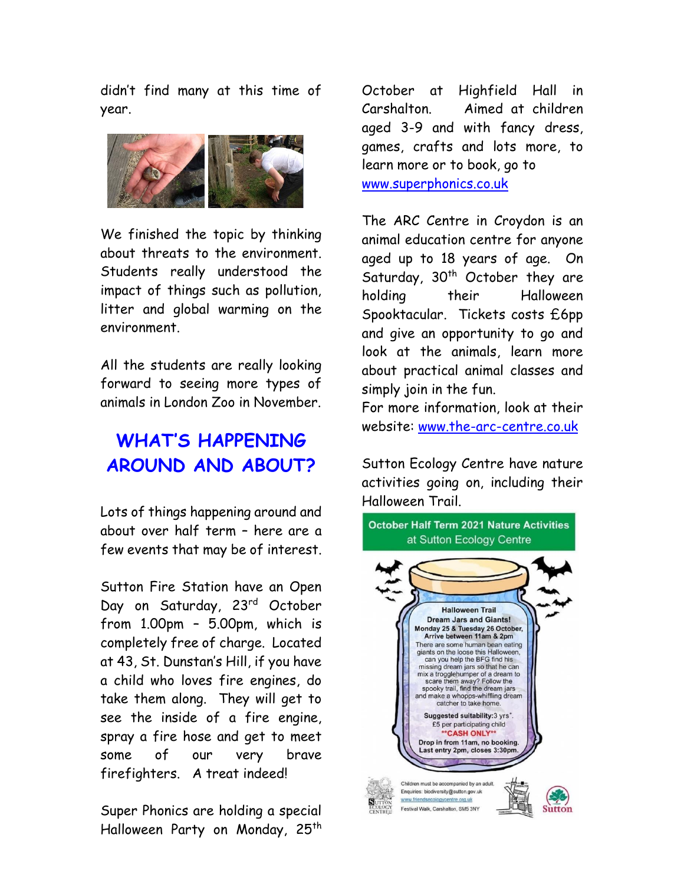didn't find many at this time of year.



We finished the topic by thinking about threats to the environment. Students really understood the impact of things such as pollution, litter and global warming on the environment.

All the students are really looking forward to seeing more types of animals in London Zoo in November.

# **WHAT'S HAPPENING AROUND AND ABOUT?**

Lots of things happening around and about over half term – here are a few events that may be of interest.

Sutton Fire Station have an Open Day on Saturday, 23rd October from 1.00pm – 5.00pm, which is completely free of charge. Located at 43, St. Dunstan's Hill, if you have a child who loves fire engines, do take them along. They will get to see the inside of a fire engine, spray a fire hose and get to meet some of our very brave firefighters. A treat indeed!

Super Phonics are holding a special Halloween Party on Monday, 25<sup>th</sup> October at Highfield Hall in Carshalton. Aimed at children aged 3-9 and with fancy dress, games, crafts and lots more, to learn more or to book, go to [www.superphonics.co.uk](http://www.superphonics.co.uk/)

The ARC Centre in Croydon is an animal education centre for anyone aged up to 18 years of age. On Saturday,  $30<sup>th</sup>$  October they are holding their Halloween Spooktacular. Tickets costs £6pp and give an opportunity to go and look at the animals, learn more about practical animal classes and simply join in the fun.

For more information, look at their website: [www.the-arc-centre.co.uk](http://www.the-arc-centre.co.uk/)

Sutton Ecology Centre have nature activities going on, including their Halloween Trail.